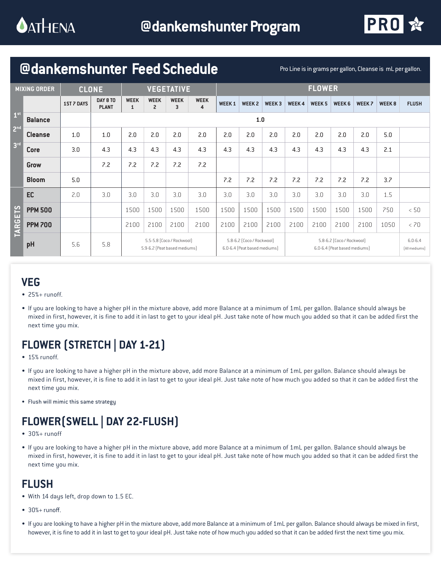

## **@dankemshunter Feed Schedule** Pro Line is in grams per gallon, Cleanse is mL per gallon.

| <b>MIXING ORDER</b>                                   |                | <b>CLONE</b>      |                          | <b>VEGETATIVE</b>                                         |                               |                  |                  | <b>FLOWER</b>                                             |              |              |                                                           |               |              |               |              |                              |
|-------------------------------------------------------|----------------|-------------------|--------------------------|-----------------------------------------------------------|-------------------------------|------------------|------------------|-----------------------------------------------------------|--------------|--------------|-----------------------------------------------------------|---------------|--------------|---------------|--------------|------------------------------|
|                                                       |                | <b>1ST 7 DAYS</b> | DAY 8 TO<br><b>PLANT</b> | <b>WEEK</b><br>1                                          | <b>WEEK</b><br>$\overline{c}$ | <b>WEEK</b><br>3 | <b>WEEK</b><br>4 | <b>WEEK1</b>                                              | <b>WEEK2</b> | <b>WEEK3</b> | <b>WEEK4</b>                                              | <b>WEEK 5</b> | <b>WEEK6</b> | <b>WEEK 7</b> | <b>WEEK8</b> | <b>FLUSH</b>                 |
| 1 <sup>st</sup><br>2 <sup>nd</sup><br>3 <sup>rd</sup> | <b>Balance</b> |                   | 1.0                      |                                                           |                               |                  |                  |                                                           |              |              |                                                           |               |              |               |              |                              |
|                                                       | <b>Cleanse</b> | 1.0               | 1.0                      | 2.0                                                       | 2.0                           | 2.0              | 2.0              | 2.0                                                       | 2.0          | 2.0          | 2.0                                                       | 2.0           | 2.0          | 2.0           | 5.0          |                              |
|                                                       | <b>Core</b>    | 3.0               | 4.3                      | 4.3                                                       | 4.3                           | 4.3              | 4.3              | 4.3                                                       | 4.3          | 4.3          | 4.3                                                       | 4.3           | 4.3          | 4.3           | 2.1          |                              |
|                                                       | Grow           |                   | 7.2                      | 7.2                                                       | 7.2                           | 7.2              | 7.2              |                                                           |              |              |                                                           |               |              |               |              |                              |
|                                                       | <b>Bloom</b>   | 5.0               |                          |                                                           |                               |                  |                  | 7.2                                                       | 7.2          | 7.2          | 7.2                                                       | 7.2           | 7.2          | 7.2           | 3.7          |                              |
| <b>TARGETS</b>                                        | EC             | 2.0               | 3.0                      | 3.0                                                       | 3.0                           | 3.0              | 3.0              | 3.0                                                       | 3.0          | 3.0          | 3.0                                                       | 3.0           | 3.0          | 3.0           | 1.5          |                              |
|                                                       | <b>PPM 500</b> |                   |                          | 1500                                                      | 1500                          | 1500             | 1500             | 1500                                                      | 1500         | 1500         | 1500                                                      | 1500          | 1500         | 1500          | 750          | < 50                         |
|                                                       | <b>PPM 700</b> |                   |                          | 2100                                                      | 2100                          | 2100             | 2100             | 2100                                                      | 2100         | 2100         | 2100                                                      | 2100          | 2100         | 2100          | 1050         | < 70                         |
|                                                       | pH             | 5.6               | 5.8                      | 5.5-5.8 (Coco / Rockwool)<br>5.9-6.2 (Peat based mediums) |                               |                  |                  | 5.8-6.2 (Coco / Rockwool)<br>6.0-6.4 (Peat based mediums) |              |              | 5.8-6.2 (Coco / Rockwool)<br>6.0-6.4 (Peat based mediums) |               |              |               |              | $6.0 - 6.4$<br>[All mediums] |

#### **VEG**

- 25%+ runoff.
- If you are looking to have a higher pH in the mixture above, add more Balance at a minimum of 1mL per gallon. Balance should always be mixed in first, however, it is fine to add it in last to get to your ideal pH. Just take note of how much you added so that it can be added first the next time you mix.

# **FLOWER (STRETCH | DAY 1-21)**

- 15% runoff.
- If you are looking to have a higher pH in the mixture above, add more Balance at a minimum of 1mL per gallon. Balance should always be mixed in first, however, it is fine to add it in last to get to your ideal pH. Just take note of how much you added so that it can be added first the next time you mix.
- Flush will mimic this same strategy

### **FLOWER(SWELL | DAY 22-FLUSH)**

- 30%+ runoff
- If you are looking to have a higher pH in the mixture above, add more Balance at a minimum of 1mL per gallon. Balance should always be mixed in first, however, it is fine to add it in last to get to your ideal pH. Just take note of how much you added so that it can be added first the next time you mix.

### **FLUSH**

- With 14 days left, drop down to 1.5 EC.
- $30% + runoff.$
- If you are looking to have a higher pH in the mixture above, add more Balance at a minimum of 1mL per gallon. Balance should always be mixed in first, however, it is fine to add it in last to get to your ideal pH. Just take note of how much you added so that it can be added first the next time you mix.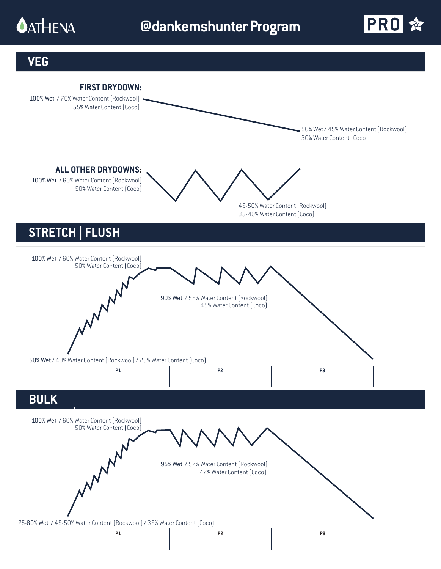